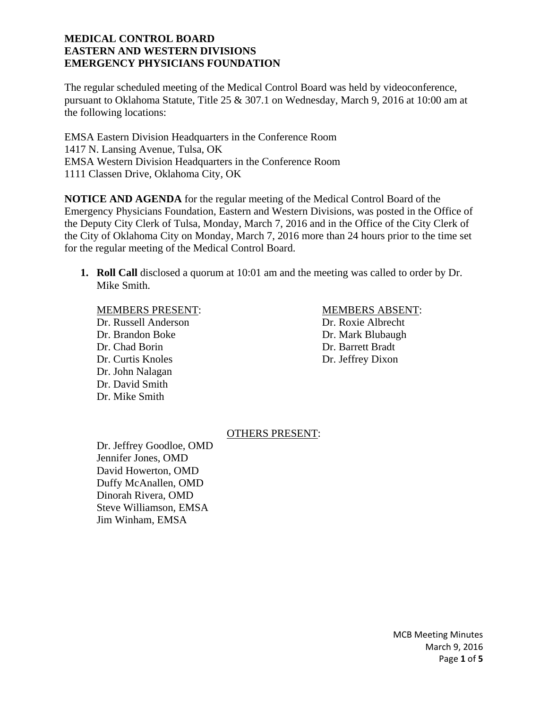The regular scheduled meeting of the Medical Control Board was held by videoconference, pursuant to Oklahoma Statute, Title 25 & 307.1 on Wednesday, March 9, 2016 at 10:00 am at the following locations:

EMSA Eastern Division Headquarters in the Conference Room 1417 N. Lansing Avenue, Tulsa, OK EMSA Western Division Headquarters in the Conference Room 1111 Classen Drive, Oklahoma City, OK

**NOTICE AND AGENDA** for the regular meeting of the Medical Control Board of the Emergency Physicians Foundation, Eastern and Western Divisions, was posted in the Office of the Deputy City Clerk of Tulsa, Monday, March 7, 2016 and in the Office of the City Clerk of the City of Oklahoma City on Monday, March 7, 2016 more than 24 hours prior to the time set for the regular meeting of the Medical Control Board.

**1. Roll Call** disclosed a quorum at 10:01 am and the meeting was called to order by Dr. Mike Smith.

### MEMBERS PRESENT: MEMBERS ABSENT:

Dr. Russell Anderson Dr. Roxie Albrecht Dr. Brandon Boke Dr. Mark Blubaugh Dr. Chad Borin Dr. Barrett Bradt Dr. Curtis Knoles Dr. Jeffrey Dixon Dr. John Nalagan Dr. David Smith Dr. Mike Smith

# OTHERS PRESENT:

 Dr. Jeffrey Goodloe, OMD Jennifer Jones, OMD David Howerton, OMD Duffy McAnallen, OMD Dinorah Rivera, OMD Steve Williamson, EMSA Jim Winham, EMSA

> MCB Meeting Minutes March 9, 2016 Page **1** of **5**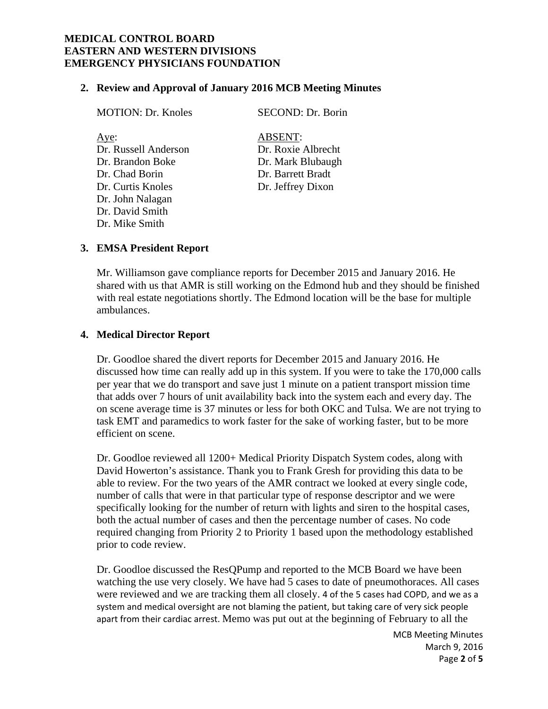### **2. Review and Approval of January 2016 MCB Meeting Minutes**

MOTION: Dr. Knoles SECOND: Dr. Borin Aye: ABSENT: Dr. Russell Anderson Dr. Roxie Albrecht Dr. Brandon Boke Dr. Mark Blubaugh Dr. Chad Borin Dr. Barrett Bradt Dr. Curtis Knoles Dr. Jeffrey Dixon Dr. John Nalagan Dr. David Smith

#### **3. EMSA President Report**

Dr. Mike Smith

Mr. Williamson gave compliance reports for December 2015 and January 2016. He shared with us that AMR is still working on the Edmond hub and they should be finished with real estate negotiations shortly. The Edmond location will be the base for multiple ambulances.

#### **4. Medical Director Report**

Dr. Goodloe shared the divert reports for December 2015 and January 2016. He discussed how time can really add up in this system. If you were to take the 170,000 calls per year that we do transport and save just 1 minute on a patient transport mission time that adds over 7 hours of unit availability back into the system each and every day. The on scene average time is 37 minutes or less for both OKC and Tulsa. We are not trying to task EMT and paramedics to work faster for the sake of working faster, but to be more efficient on scene.

Dr. Goodloe reviewed all 1200+ Medical Priority Dispatch System codes, along with David Howerton's assistance. Thank you to Frank Gresh for providing this data to be able to review. For the two years of the AMR contract we looked at every single code, number of calls that were in that particular type of response descriptor and we were specifically looking for the number of return with lights and siren to the hospital cases, both the actual number of cases and then the percentage number of cases. No code required changing from Priority 2 to Priority 1 based upon the methodology established prior to code review.

Dr. Goodloe discussed the ResQPump and reported to the MCB Board we have been watching the use very closely. We have had 5 cases to date of pneumothoraces. All cases were reviewed and we are tracking them all closely. 4 of the 5 cases had COPD, and we as a system and medical oversight are not blaming the patient, but taking care of very sick people apart from their cardiac arrest. Memo was put out at the beginning of February to all the

> MCB Meeting Minutes March 9, 2016 Page **2** of **5**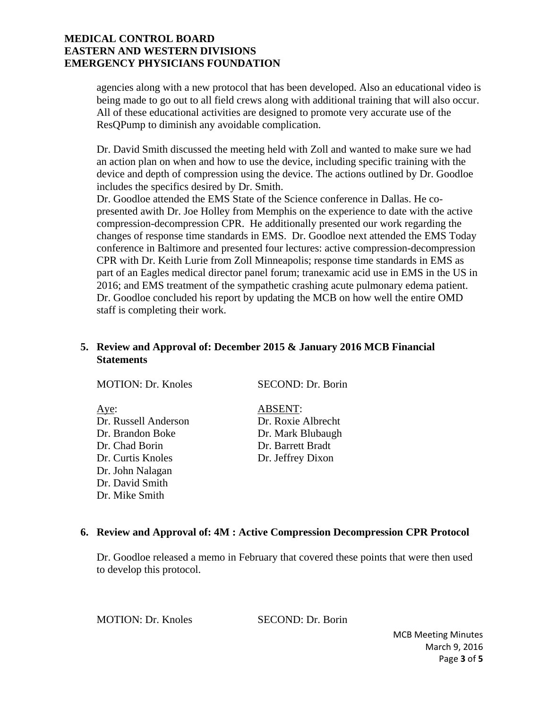agencies along with a new protocol that has been developed. Also an educational video is being made to go out to all field crews along with additional training that will also occur. All of these educational activities are designed to promote very accurate use of the ResQPump to diminish any avoidable complication.

Dr. David Smith discussed the meeting held with Zoll and wanted to make sure we had an action plan on when and how to use the device, including specific training with the device and depth of compression using the device. The actions outlined by Dr. Goodloe includes the specifics desired by Dr. Smith.

Dr. Goodloe attended the EMS State of the Science conference in Dallas. He copresented awith Dr. Joe Holley from Memphis on the experience to date with the active compression-decompression CPR. He additionally presented our work regarding the changes of response time standards in EMS. Dr. Goodloe next attended the EMS Today conference in Baltimore and presented four lectures: active compression-decompression CPR with Dr. Keith Lurie from Zoll Minneapolis; response time standards in EMS as part of an Eagles medical director panel forum; tranexamic acid use in EMS in the US in 2016; and EMS treatment of the sympathetic crashing acute pulmonary edema patient. Dr. Goodloe concluded his report by updating the MCB on how well the entire OMD staff is completing their work.

# **5. Review and Approval of: December 2015 & January 2016 MCB Financial Statements**

| <b>MOTION: Dr. Knoles</b> | SECOND: Dr. Borin  |
|---------------------------|--------------------|
| Aye:                      | <b>ABSENT:</b>     |
| Dr. Russell Anderson      | Dr. Roxie Albrecht |
| Dr. Brandon Boke          | Dr. Mark Blubaugh  |
| Dr. Chad Borin            | Dr. Barrett Bradt  |
| Dr. Curtis Knoles         | Dr. Jeffrey Dixon  |
| Dr. John Nalagan          |                    |
| Dr. David Smith           |                    |
| Dr. Mike Smith            |                    |

### **6. Review and Approval of: 4M : Active Compression Decompression CPR Protocol**

Dr. Goodloe released a memo in February that covered these points that were then used to develop this protocol.

MOTION: Dr. Knoles SECOND: Dr. Borin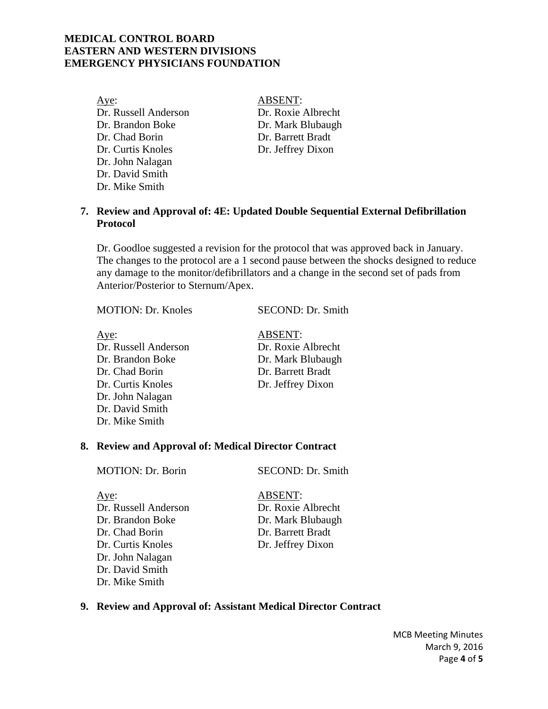Aye: ABSENT: Dr. Russell Anderson Dr. Roxie Albrecht Dr. Brandon Boke Dr. Mark Blubaugh Dr. Chad Borin Dr. Barrett Bradt Dr. Curtis Knoles Dr. Jeffrey Dixon Dr. John Nalagan Dr. David Smith Dr. Mike Smith

## **7. Review and Approval of: 4E: Updated Double Sequential External Defibrillation Protocol**

Dr. Goodloe suggested a revision for the protocol that was approved back in January. The changes to the protocol are a 1 second pause between the shocks designed to reduce any damage to the monitor/defibrillators and a change in the second set of pads from Anterior/Posterior to Sternum/Apex.

MOTION: Dr. Knoles SECOND: Dr. Smith

Aye: ABSENT: Dr. Russell Anderson Dr. Roxie Albrecht Dr. Brandon Boke Dr. Mark Blubaugh Dr. Chad Borin Dr. Barrett Bradt Dr. Curtis Knoles Dr. Jeffrey Dixon Dr. John Nalagan Dr. David Smith Dr. Mike Smith

## **8. Review and Approval of: Medical Director Contract**

MOTION: Dr. Borin SECOND: Dr. Smith

Aye: ABSENT: Dr. Russell Anderson Dr. Roxie Albrecht Dr. Brandon Boke Dr. Mark Blubaugh Dr. Chad Borin Dr. Barrett Bradt Dr. Curtis Knoles Dr. Jeffrey Dixon Dr. John Nalagan Dr. David Smith Dr. Mike Smith

#### **9. Review and Approval of: Assistant Medical Director Contract**